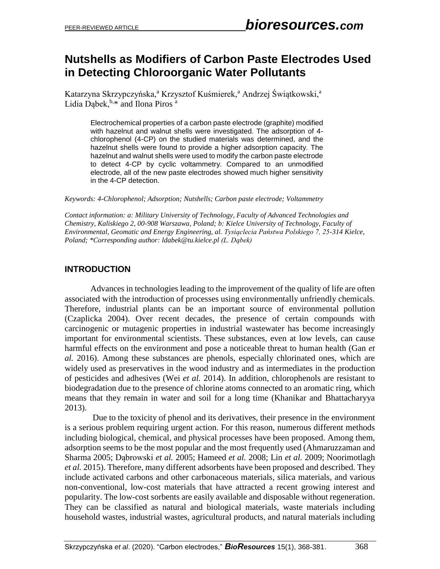## **Nutshells as Modifiers of Carbon Paste Electrodes Used in Detecting Chloroorganic Water Pollutants**

Katarzyna Skrzypczyńska,<sup>a</sup> Krzysztof Kuśmierek,<sup>a</sup> Andrzej Świątkowski,<sup>a</sup> Lidia Dabek, $b,*$  and Ilona Piros<sup>a</sup>

Electrochemical properties of a carbon paste electrode (graphite) modified with hazelnut and walnut shells were investigated. The adsorption of 4 chlorophenol (4-CP) on the studied materials was determined, and the hazelnut shells were found to provide a higher adsorption capacity. The hazelnut and walnut shells were used to modify the carbon paste electrode to detect 4-CP by cyclic voltammetry. Compared to an unmodified electrode, all of the new paste electrodes showed much higher sensitivity in the 4-CP detection.

*Keywords: 4-Chlorophenol; Adsorption; Nutshells; Carbon paste electrode; Voltammetry*

*Contact information: a: Military University of Technology, Faculty of Advanced Technologies and Chemistry, Kaliskiego 2, 00-908 Warszawa, Poland; b: Kielce University of Technology, Faculty of Environmental, Geomatic and Energy Engineering, al. Tysiąclecia Państwa Polskiego 7, 25-314 Kielce, Poland; \*Corresponding author: [ldabek@tu.kielce.pl](mailto:ldabek@tu.kielce.pl) (L. Dąbek)*

#### **INTRODUCTION**

Advances in technologies leading to the improvement of the quality of life are often associated with the introduction of processes using environmentally unfriendly chemicals. Therefore, industrial plants can be an important source of environmental pollution (Czaplicka 2004). Over recent decades, the presence of certain compounds with carcinogenic or mutagenic properties in industrial wastewater has become increasingly important for environmental scientists. These substances, even at low levels, can cause harmful effects on the environment and pose a noticeable threat to human health (Gan *et al.* 2016). Among these substances are phenols, especially chlorinated ones, which are widely used as preservatives in the wood industry and as intermediates in the production of pesticides and adhesives (Wei *et al.* 2014). In addition, chlorophenols are resistant to biodegradation due to the presence of chlorine atoms connected to an aromatic ring, which means that they remain in water and soil for a long time (Khanikar and Bhattacharyya 2013).

Due to the toxicity of phenol and its derivatives, their presence in the environment is a serious problem requiring urgent action. For this reason, numerous different methods including biological, chemical, and physical processes have been proposed. Among them, adsorption seems to be the most popular and the most frequently used (Ahmaruzzaman and Sharma 2005; Dąbrowski *et al.* 2005; Hameed *et al.* 2008; Lin *et al.* 2009; Noorimotlagh *et al.* 2015). Therefore, many different adsorbents have been proposed and described. They include activated carbons and other carbonaceous materials, silica materials, and various non-conventional, low-cost materials that have attracted a recent growing interest and popularity. The low-cost sorbents are easily available and disposable without regeneration. They can be classified as natural and biological materials, waste materials including household wastes, industrial wastes, agricultural products, and natural materials including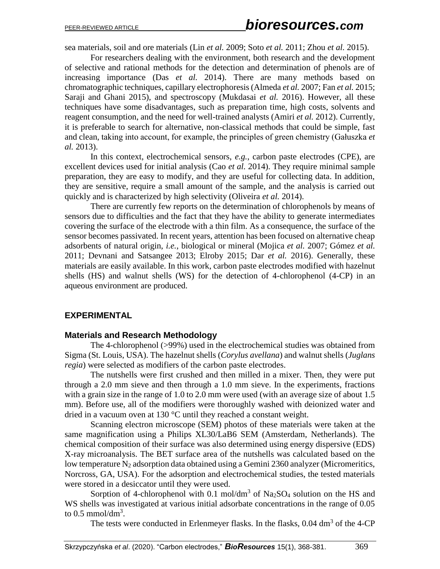sea materials, soil and ore materials (Lin *et al.* 2009; Soto *et al.* 2011; Zhou *et al.* 2015).

For researchers dealing with the environment, both research and the development of selective and rational methods for the detection and determination of phenols are of increasing importance (Das *et al.* 2014). There are many methods based on chromatographic techniques, capillary electrophoresis (Almeda *et al.* 2007; Fan *et al.* 2015; Saraji and Ghani 2015), and spectroscopy (Mukdasai *et al.* 2016). However, all these techniques have some disadvantages, such as preparation time, high costs, solvents and reagent consumption, and the need for well-trained analysts (Amiri *et al.* 2012). Currently, it is preferable to search for alternative, non-classical methods that could be simple, fast and clean, taking into account, for example, the principles of green chemistry (Gałuszka *et al.* 2013).

In this context, electrochemical sensors, *e.g.*, carbon paste electrodes (CPE), are excellent devices used for initial analysis (Cao *et al.* 2014). They require minimal sample preparation, they are easy to modify, and they are useful for collecting data. In addition, they are sensitive, require a small amount of the sample, and the analysis is carried out quickly and is characterized by high selectivity (Oliveira *et al.* 2014).

There are currently few reports on the determination of chlorophenols by means of sensors due to difficulties and the fact that they have the ability to generate intermediates covering the surface of the electrode with a thin film. As a consequence, the surface of the sensor becomes passivated. In recent years, attention has been focused on alternative cheap adsorbents of natural origin, *i.e.*, biological or mineral (Mojica *et al.* 2007; Gómez *et al.* 2011; Devnani and Satsangee 2013; Elroby 2015; Dar *et al.* 2016). Generally, these materials are easily available. In this work, carbon paste electrodes modified with hazelnut shells (HS) and walnut shells (WS) for the detection of 4-chlorophenol (4-CP) in an aqueous environment are produced.

#### **EXPERIMENTAL**

#### **Materials and Research Methodology**

The 4-chlorophenol (>99%) used in the electrochemical studies was obtained from Sigma (St. Louis, USA). The hazelnut shells (*Corylus avellana*) and walnut shells (*Juglans regia*) were selected as modifiers of the carbon paste electrodes.

The nutshells were first crushed and then milled in a mixer. Then, they were put through a 2.0 mm sieve and then through a 1.0 mm sieve. In the experiments, fractions with a grain size in the range of 1.0 to 2.0 mm were used (with an average size of about 1.5 mm). Before use, all of the modifiers were thoroughly washed with deionized water and dried in a vacuum oven at 130 °C until they reached a constant weight.

Scanning electron microscope (SEM) photos of these materials were taken at the same magnification using a Philips XL30/LaB6 SEM (Amsterdam, Netherlands). The chemical composition of their surface was also determined using energy dispersive (EDS) X-ray microanalysis. The BET surface area of the nutshells was calculated based on the low temperature  $N_2$  adsorption data obtained using a Gemini 2360 analyzer (Micromeritics, Norcross, GA, USA). For the adsorption and electrochemical studies, the tested materials were stored in a desiccator until they were used.

Sorption of 4-chlorophenol with 0.1 mol/dm<sup>3</sup> of Na<sub>2</sub>SO<sub>4</sub> solution on the HS and WS shells was investigated at various initial adsorbate concentrations in the range of 0.05 to  $0.5 \text{ mmol/dm}^3$ .

The tests were conducted in Erlenmeyer flasks. In the flasks, 0.04 dm<sup>3</sup> of the 4-CP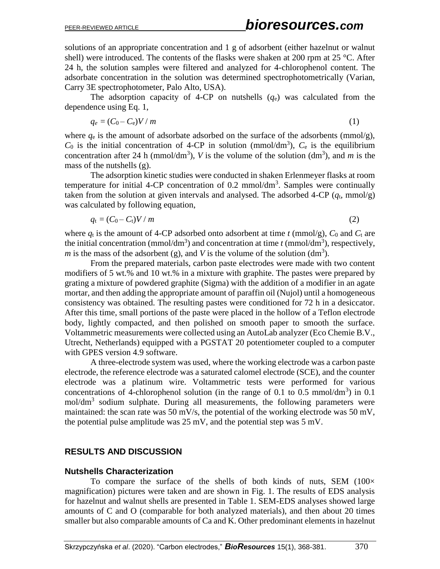solutions of an appropriate concentration and 1 g of adsorbent (either hazelnut or walnut shell) were introduced. The contents of the flasks were shaken at 200 rpm at 25  $^{\circ}$ C. After 24 h, the solution samples were filtered and analyzed for 4-chlorophenol content. The adsorbate concentration in the solution was determined spectrophotometrically (Varian, Carry 3E spectrophotometer, Palo Alto, USA).

The adsorption capacity of 4-CP on nutshells  $(q_e)$  was calculated from the dependence using Eq. 1,

$$
q_e = (C_0 - C_e)V/m
$$
 (1)

where  $q_e$  is the amount of adsorbate adsorbed on the surface of the adsorbents (mmol/g),  $C_0$  is the initial concentration of 4-CP in solution (mmol/dm<sup>3</sup>),  $C_e$  is the equilibrium concentration after 24 h (mmol/dm<sup>3</sup>), *V* is the volume of the solution (dm<sup>3</sup>), and *m* is the mass of the nutshells (g).

The adsorption kinetic studies were conducted in shaken Erlenmeyer flasks at room temperature for initial 4-CP concentration of 0.2 mmol/dm<sup>3</sup>. Samples were continually taken from the solution at given intervals and analysed. The adsorbed 4-CP  $(q_t, \text{mmol/g})$ was calculated by following equation,

$$
q_t = (C_0 - C_t)V/m \tag{2}
$$

where  $q_t$  is the amount of 4-CP adsorbed onto adsorbent at time  $t$  (mmol/g),  $C_0$  and  $C_t$  are the initial concentration (mmol/dm<sup>3</sup>) and concentration at time  $t$  (mmol/dm<sup>3</sup>), respectively, *m* is the mass of the adsorbent (g), and *V* is the volume of the solution (dm<sup>3</sup>).

From the prepared materials, carbon paste electrodes were made with two content modifiers of 5 wt.% and 10 wt.% in a mixture with graphite. The pastes were prepared by grating a mixture of powdered graphite (Sigma) with the addition of a modifier in an agate mortar, and then adding the appropriate amount of paraffin oil (Nujol) until a homogeneous consistency was obtained. The resulting pastes were conditioned for 72 h in a desiccator. After this time, small portions of the paste were placed in the hollow of a Teflon electrode body, lightly compacted, and then polished on smooth paper to smooth the surface. Voltammetric measurements were collected using an AutoLab analyzer (Eco Chemie B.V., Utrecht, Netherlands) equipped with a PGSTAT 20 potentiometer coupled to a computer with GPES version 4.9 software.

A three-electrode system was used, where the working electrode was a carbon paste electrode, the reference electrode was a saturated calomel electrode (SCE), and the counter electrode was a platinum wire. Voltammetric tests were performed for various concentrations of 4-chlorophenol solution (in the range of 0.1 to 0.5 mmol/dm<sup>3</sup>) in 0.1  $mol/dm<sup>3</sup>$  sodium sulphate. During all measurements, the following parameters were maintained: the scan rate was 50 mV/s, the potential of the working electrode was 50 mV, the potential pulse amplitude was  $25 \text{ mV}$ , and the potential step was  $5 \text{ mV}$ .

## **RESULTS AND DISCUSSION**

#### **Nutshells Characterization**

To compare the surface of the shells of both kinds of nuts, SEM  $(100 \times$ magnification) pictures were taken and are shown in Fig. 1. The results of EDS analysis for hazelnut and walnut shells are presented in Table 1. SEM-EDS analyses showed large amounts of C and O (comparable for both analyzed materials), and then about 20 times smaller but also comparable amounts of Ca and K. Other predominant elements in hazelnut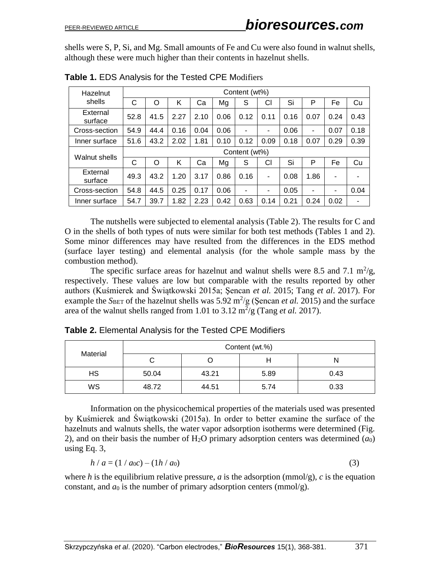shells were S, P, Si, and Mg. Small amounts of Fe and Cu were also found in walnut shells, although these were much higher than their contents in hazelnut shells.

| Hazelnut            | Content (wt%) |      |      |      |      |      |      |      |                |      |      |
|---------------------|---------------|------|------|------|------|------|------|------|----------------|------|------|
| shells              | C             | O    | K    | Ca   | Mg   | S    | СI   | Si   | P              | Fe   | Cu   |
| External<br>surface | 52.8          | 41.5 | 2.27 | 2.10 | 0.06 | 0.12 | 0.11 | 0.16 | 0.07           | 0.24 | 0.43 |
| Cross-section       | 54.9          | 44.4 | 0.16 | 0.04 | 0.06 | ۰    | ۰    | 0.06 | $\blacksquare$ | 0.07 | 0.18 |
| Inner surface       | 51.6          | 43.2 | 2.02 | 1.81 | 0.10 | 0.12 | 0.09 | 0.18 | 0.07           | 0.29 | 0.39 |
| Walnut shells       | Content (wt%) |      |      |      |      |      |      |      |                |      |      |
|                     | C             | O    | Κ    | Сa   | Mg   | S    | CI   | Si   | P              | Fe   | Cu   |
| External<br>surface | 49.3          | 43.2 | 1.20 | 3.17 | 0.86 | 0.16 | ۰    | 0.08 | 1.86           | ۰    |      |
| Cross-section       | 54.8          | 44.5 | 0.25 | 0.17 | 0.06 | ۰    | ۰    | 0.05 | -              | ۰    | 0.04 |
| Inner surface       | 54.7          | 39.7 | 1.82 | 2.23 | 0.42 | 0.63 | 0.14 | 0.21 | 0.24           | 0.02 |      |

**Table 1.** EDS Analysis for the Tested CPE Modifiers

The nutshells were subjected to elemental analysis (Table 2). The results for C and O in the shells of both types of nuts were similar for both test methods (Tables 1 and 2). Some minor differences may have resulted from the differences in the EDS method (surface layer testing) and elemental analysis (for the whole sample mass by the combustion method).

The specific surface areas for hazelnut and walnut shells were 8.5 and 7.1  $\text{m}^2/\text{g}$ , respectively. These values are low but comparable with the results reported by other authors (Kuśmierek and Świątkowski 2015a; Şencan *et al.* 2015; Tang *et al*. 2017). For example the *S*<sub>BET</sub> of the hazelnut shells was  $5.92 \text{ m}^2/\text{g}$  (Şencan *et al.* 2015) and the surface area of the walnut shells ranged from 1.01 to  $3.12 \text{ m}^2/\text{g}$  (Tang *et al.* 2017).

| Material | Content (wt.%) |       |      |      |  |  |  |
|----------|----------------|-------|------|------|--|--|--|
|          |                |       |      |      |  |  |  |
| HS       | 50.04          | 43.21 | 5.89 | 0.43 |  |  |  |
| WS       | 48.72          | 44.51 | 5.74 | 0.33 |  |  |  |

**Table 2.** Elemental Analysis for the Tested CPE Modifiers

Information on the physicochemical properties of the materials used was presented by Kuśmierek and Świątkowski (2015a). In order to better examine the surface of the hazelnuts and walnuts shells, the water vapor adsorption isotherms were determined (Fig. 2), and on their basis the number of  $H_2O$  primary adsorption centers was determined  $(a_0)$ using Eq. 3,

$$
h/a = (1/a_0c) - (1h/a_0)
$$
\n(3)

where *h* is the equilibrium relative pressure, *a* is the adsorption ( $\text{mmol/g}$ ), *c* is the equation constant, and  $a_0$  is the number of primary adsorption centers (mmol/g).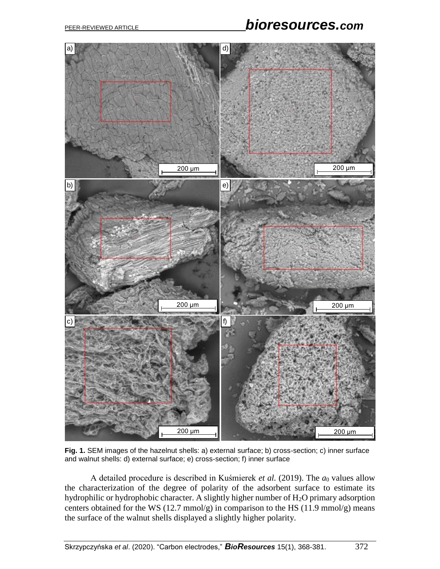# PEER-REVIEWED ARTICLE *bioresources.com*



**Fig. 1.** SEM images of the hazelnut shells: a) external surface; b) cross-section; c) inner surface and walnut shells: d) external surface; e) cross-section; f) inner surface

A detailed procedure is described in Kuśmierek *et al.* (2019). The *a*<sup>0</sup> values allow the characterization of the degree of polarity of the adsorbent surface to estimate its hydrophilic or hydrophobic character. A slightly higher number of H<sub>2</sub>O primary adsorption centers obtained for the WS  $(12.7 \text{ mmol/g})$  in comparison to the HS  $(11.9 \text{ mmol/g})$  means the surface of the walnut shells displayed a slightly higher polarity.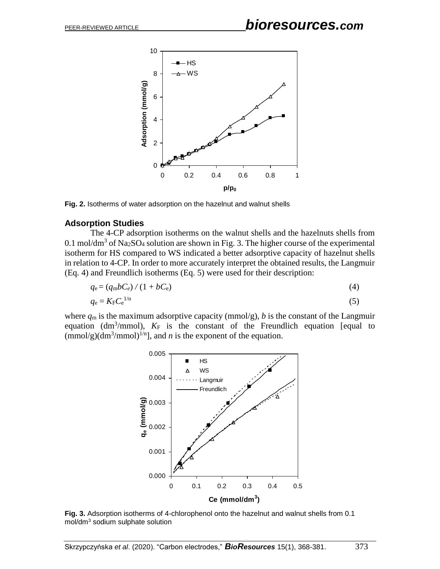

**Fig. 2.** Isotherms of water adsorption on the hazelnut and walnut shells

## **Adsorption Studies**

The 4-CP adsorption isotherms on the walnut shells and the hazelnuts shells from 0.1 mol/dm<sup>3</sup> of Na<sub>2</sub>SO<sub>4</sub> solution are shown in Fig. 3. The higher course of the experimental isotherm for HS compared to WS indicated a better adsorptive capacity of hazelnut shells in relation to 4-CP. In order to more accurately interpret the obtained results, the Langmuir (Eq. 4) and Freundlich isotherms (Eq. 5) were used for their description:

$$
q_{\rm e} = (q_{\rm m}bC_e)/(1 + bC_{\rm e})\tag{4}
$$

$$
q_{\rm e} = K_{\rm F} C_{\rm e}^{1/n} \tag{5}
$$

where  $q_m$  is the maximum adsorptive capacity (mmol/g), *b* is the constant of the Langmuir equation ( $dm^3/mmol$ ),  $K_F$  is the constant of the Freundlich equation [equal to  $\text{(mmol/g)}(\text{dm}^3/\text{mmol})^{1/n}$ , and *n* is the exponent of the equation.



**Fig. 3.** Adsorption isotherms of 4-chlorophenol onto the hazelnut and walnut shells from 0.1 mol/dm<sup>3</sup> sodium sulphate solution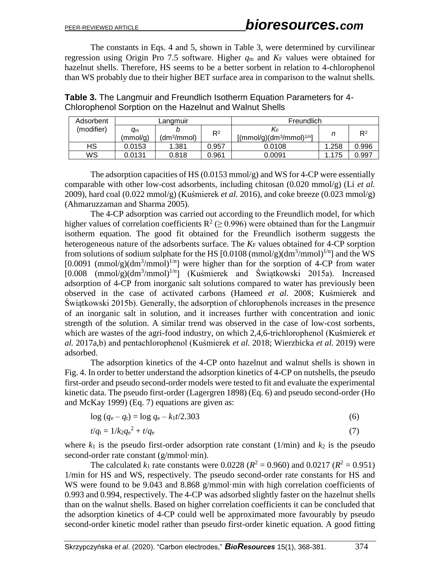The constants in Eqs. 4 and 5, shown in Table 3, were determined by curvilinear regression using Origin Pro 7.5 software. Higher  $q_m$  and  $K_F$  values were obtained for hazelnut shells. Therefore, HS seems to be a better sorbent in relation to 4-chlorophenol than WS probably due to their higher BET surface area in comparison to the walnut shells.

**Table 3.** The Langmuir and Freundlich Isotherm Equation Parameters for 4- Chlorophenol Sorption on the Hazelnut and Walnut Shells

| Adsorbent  |                | Langmuir                |       | Freundlich                      |       |                |  |
|------------|----------------|-------------------------|-------|---------------------------------|-------|----------------|--|
| (modifier) | am<br>(mmol/g) | (dm <sup>3</sup> /mmol) | $R^2$ | K⊧<br>$[(mmol/g)(dm3/mmol)1/n]$ |       | R <sup>2</sup> |  |
| <b>HS</b>  | 0.0153         | 1.381                   | 0.957 | 0.0108                          | 1.258 | 0.996          |  |
| WS         | 0.0131         | 0.818                   | 0.961 | 0.0091                          | .175  | 0.997          |  |

The adsorption capacities of HS  $(0.0153 \text{ mmol/g})$  and WS for 4-CP were essentially comparable with other low-cost adsorbents, including chitosan (0.020 mmol/g) (Li *et al.* 2009), hard coal (0.022 mmol/g) (Kuśmierek *et al.* 2016), and coke breeze (0.023 mmol/g) (Ahmaruzzaman and Sharma 2005).

The 4-CP adsorption was carried out according to the Freundlich model, for which higher values of correlation coefficients  $R^2$  ( $\geq$  0.996) were obtained than for the Langmuir isotherm equation. The good fit obtained for the Freundlich isotherm suggests the heterogeneous nature of the adsorbents surface. The  $K_F$  values obtained for 4-CP sorption from solutions of sodium sulphate for the HS  $[0.0108 \, (\text{mmol/g}) (\text{dm}^3/\text{mmol})^{1/n}]$  and the WS  $[0.0091 \, (\text{mmol/g})(\text{dm}^3/\text{mmol})^{1/n}]$  were higher than for the sorption of 4-CP from water  $[0.008 \text{ (mmol/g)}(\text{dm}^3/\text{mmol})^{1/n}]$  (Kuśmierek and Świątkowski 2015a). Increased adsorption of 4-CP from inorganic salt solutions compared to water has previously been observed in the case of activated carbons (Hameed *et al.* 2008; Kuśmierek and Świątkowski 2015b). Generally, the adsorption of chlorophenols increases in the presence of an inorganic salt in solution, and it increases further with concentration and ionic strength of the solution. A similar trend was observed in the case of low-cost sorbents, which are wastes of the agri-food industry, on which 2,4,6-trichlorophenol (Kuśmierek *et al.* 2017a,b) and pentachlorophenol (Kuśmierek *et al.* 2018; Wierzbicka *et al.* 2019) were adsorbed.

The adsorption kinetics of the 4-CP onto hazelnut and walnut shells is shown in Fig. 4. In order to better understand the adsorption kinetics of 4-CP on nutshells, the pseudo first-order and pseudo second-order models were tested to fit and evaluate the experimental kinetic data. The pseudo first-order (Lagergren 1898) (Eq. 6) and pseudo second-order (Ho and McKay 1999) (Eq. 7) equations are given as:

$$
\log (q_{\rm e} - q_{\rm t}) = \log q_{\rm e} - k_1 t / 2.303 \tag{6}
$$

$$
t/q_{\rm t} = 1/k_2 q_{\rm e}^2 + t/q_{\rm e} \tag{7}
$$

where  $k_1$  is the pseudo first-order adsorption rate constant  $(1/\text{min})$  and  $k_2$  is the pseudo second-order rate constant (g/mmol·min).

The calculated  $k_1$  rate constants were 0.0228 ( $R^2 = 0.960$ ) and 0.0217 ( $R^2 = 0.951$ ) 1/min for HS and WS, respectively. The pseudo second-order rate constants for HS and WS were found to be 9.043 and 8.868 g/mmol·min with high correlation coefficients of 0.993 and 0.994, respectively. The 4-CP was adsorbed slightly faster on the hazelnut shells than on the walnut shells. Based on higher correlation coefficients it can be concluded that the adsorption kinetics of 4-CP could well be approximated more favourably by pseudo second-order kinetic model rather than pseudo first-order kinetic equation. A good fitting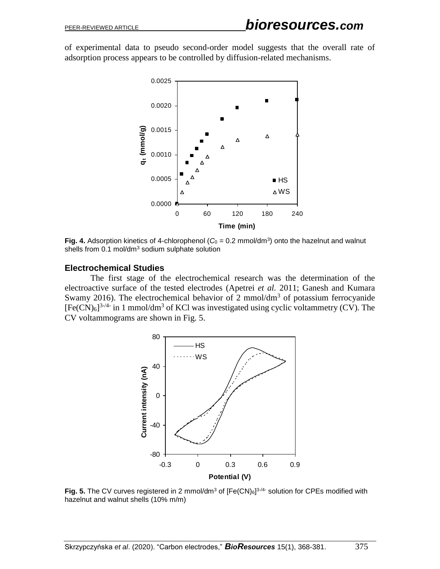of experimental data to pseudo second-order model suggests that the overall rate of adsorption process appears to be controlled by diffusion-related mechanisms.



**Fig. 4.** Adsorption kinetics of 4-chlorophenol ( $C<sub>0</sub> = 0.2$  mmol/dm<sup>3</sup>) onto the hazelnut and walnut shells from 0.1 mol/dm<sup>3</sup> sodium sulphate solution

#### **Electrochemical Studies**

The first stage of the electrochemical research was the determination of the electroactive surface of the tested electrodes (Apetrei *et al.* 2011; Ganesh and Kumara Swamy 2016). The electrochemical behavior of 2 mmol/dm<sup>3</sup> of potassium ferrocyanide  $[Fe(CN)_6]^{3-4}$  in 1 mmol/dm<sup>3</sup> of KCl was investigated using cyclic voltammetry (CV). The CV voltammograms are shown in Fig. 5.



**Fig. 5.** The CV curves registered in 2 mmol/dm<sup>3</sup> of [Fe(CN)<sub>6</sub>]<sup>3,4</sup> solution for CPEs modified with hazelnut and walnut shells (10% m/m)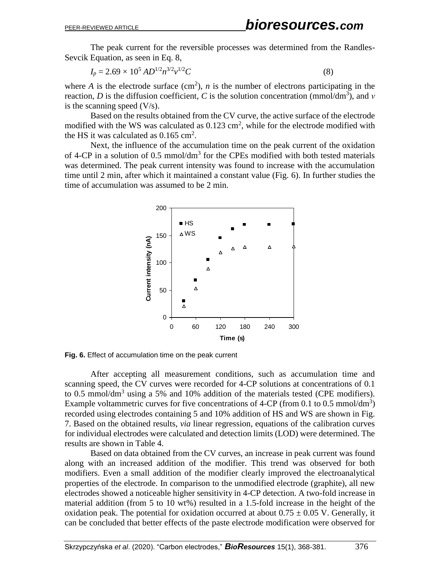The peak current for the reversible processes was determined from the Randles-Sevcik Equation, as seen in Eq. 8,

$$
I_p = 2.69 \times 10^5 \, AD^{1/2} n^{3/2} v^{1/2} C \tag{8}
$$

where *A* is the electrode surface  $(cm<sup>2</sup>)$ , *n* is the number of electrons participating in the reaction, *D* is the diffusion coefficient, *C* is the solution concentration (mmol/dm<sup>3</sup>), and *ν* is the scanning speed  $(V/s)$ .

Based on the results obtained from the CV curve, the active surface of the electrode modified with the WS was calculated as  $0.123 \text{ cm}^2$ , while for the electrode modified with the HS it was calculated as  $0.165 \text{ cm}^2$ .

Next, the influence of the accumulation time on the peak current of the oxidation of 4-CP in a solution of 0.5 mmol/ $dm<sup>3</sup>$  for the CPEs modified with both tested materials was determined. The peak current intensity was found to increase with the accumulation time until 2 min, after which it maintained a constant value (Fig. 6). In further studies the time of accumulation was assumed to be 2 min.



**Fig. 6.** Effect of accumulation time on the peak current

After accepting all measurement conditions, such as accumulation time and scanning speed, the CV curves were recorded for 4-CP solutions at concentrations of 0.1 to 0.5 mmol/dm<sup>3</sup> using a 5% and 10% addition of the materials tested (CPE modifiers). Example voltammetric curves for five concentrations of 4-CP (from 0.1 to 0.5 mmol/dm<sup>3</sup>) recorded using electrodes containing 5 and 10% addition of HS and WS are shown in Fig. 7. Based on the obtained results, *via* linear regression, equations of the calibration curves for individual electrodes were calculated and detection limits (LOD) were determined. The results are shown in Table 4.

Based on data obtained from the CV curves, an increase in peak current was found along with an increased addition of the modifier. This trend was observed for both modifiers. Even a small addition of the modifier clearly improved the electroanalytical properties of the electrode. In comparison to the unmodified electrode (graphite), all new electrodes showed a noticeable higher sensitivity in 4-CP detection. A two-fold increase in material addition (from 5 to 10 wt%) resulted in a 1.5-fold increase in the height of the oxidation peak. The potential for oxidation occurred at about  $0.75 \pm 0.05$  V. Generally, it can be concluded that better effects of the paste electrode modification were observed for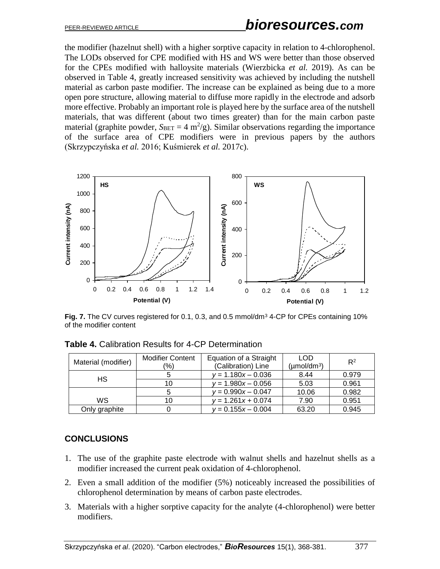# PEER-REVIEWED ARTICLE *bioresources.com*

the modifier (hazelnut shell) with a higher sorptive capacity in relation to 4-chlorophenol. The LODs observed for CPE modified with HS and WS were better than those observed for the CPEs modified with halloysite materials (Wierzbicka *et al.* 2019). As can be observed in Table 4, greatly increased sensitivity was achieved by including the nutshell material as carbon paste modifier. The increase can be explained as being due to a more open pore structure, allowing material to diffuse more rapidly in the electrode and adsorb more effective. Probably an important role is played here by the surface area of the nutshell materials, that was different (about two times greater) than for the main carbon paste material (graphite powder,  $S_{BET} = 4 \text{ m}^2/\text{g}$ ). Similar observations regarding the importance of the surface area of CPE modifiers were in previous papers by the authors (Skrzypczyńska *et al.* 2016; Kuśmierek *et al.* 2017c).



Fig. 7. The CV curves registered for 0.1, 0.3, and 0.5 mmol/dm<sup>3</sup> 4-CP for CPEs containing 10% of the modifier content

|                     | <b>Modifier Content</b> | Equation of a Straight | <b>LOD</b>                     | $R^2$ |  |
|---------------------|-------------------------|------------------------|--------------------------------|-------|--|
| Material (modifier) | $\frac{1}{2}$           | (Calibration) Line     | $(\mu \text{mol}/\text{dm}^3)$ |       |  |
| HS                  |                         | $y = 1.180x - 0.036$   | 8.44                           | 0.979 |  |
|                     | 10                      | $y = 1.980x - 0.056$   | 5.03                           | 0.961 |  |
|                     |                         | $v = 0.990x - 0.047$   | 10.06                          | 0.982 |  |
| WS                  | 10                      | $v = 1.261x + 0.074$   | 7.90                           | 0.951 |  |
| Only graphite       |                         | $y = 0.155x - 0.004$   | 63.20                          | 0.945 |  |

**Table 4.** Calibration Results for 4-CP Determination

## **CONCLUSIONS**

- 1. The use of the graphite paste electrode with walnut shells and hazelnut shells as a modifier increased the current peak oxidation of 4-chlorophenol.
- 2. Even a small addition of the modifier (5%) noticeably increased the possibilities of chlorophenol determination by means of carbon paste electrodes.
- 3. Materials with a higher sorptive capacity for the analyte (4-chlorophenol) were better modifiers.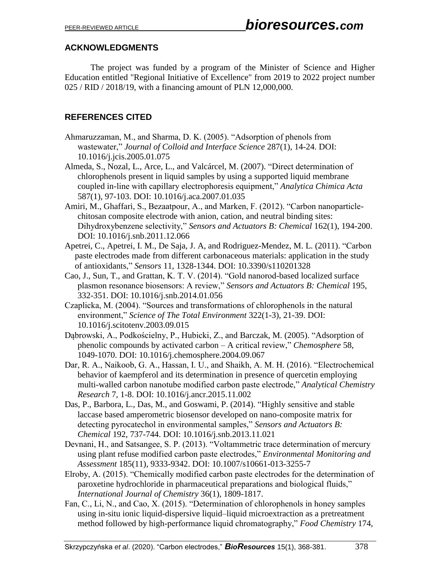## **ACKNOWLEDGMENTS**

The project was funded by a program of the Minister of Science and Higher Education entitled "Regional Initiative of Excellence" from 2019 to 2022 project number 025 / RID / 2018/19, with a financing amount of PLN 12,000,000.

## **REFERENCES CITED**

- Ahmaruzzaman, M., and Sharma, D. K. (2005). "Adsorption of phenols from wastewater," *Journal of Colloid and Interface Science* 287(1), 14-24. DOI: 10.1016/j.jcis.2005.01.075
- Almeda, S., Nozal, L., Arce, L., and Valcárcel, M. (2007). "Direct determination of chlorophenols present in liquid samples by using a supported liquid membrane coupled in-line with capillary electrophoresis equipment," *Analytica Chimica Acta* 587(1), 97-103. DOI: 10.1016/j.aca.2007.01.035
- Amiri, M., Ghaffari, S., Bezaatpour, A., and Marken, F. (2012). "Carbon nanoparticlechitosan composite electrode with anion, cation, and neutral binding sites: Dihydroxybenzene selectivity," *Sensors and Actuators B: Chemical* 162(1), 194-200. DOI: 10.1016/j.snb.2011.12.066
- Apetrei, C., Apetrei, I. M., De Saja, J. A, and Rodriguez-Mendez, M. L. (2011). "Carbon paste electrodes made from different carbonaceous materials: application in the study of antioxidants," *Sensors* 11, 1328-1344. DOI: 10.3390/s110201328
- Cao, J., Sun, T., and Grattan, K. T. V. (2014). "Gold nanorod-based localized surface plasmon resonance biosensors: A review," *Sensors and Actuators B: Chemical* 195, 332-351. DOI: 10.1016/j.snb.2014.01.056
- Czaplicka, M. (2004). "Sources and transformations of chlorophenols in the natural environment," *Science of The Total Environment* 322(1-3), 21-39. DOI: 10.1016/j.scitotenv.2003.09.015
- Dąbrowski, A., Podkościelny, P., Hubicki, Z., and Barczak, M. (2005). "Adsorption of phenolic compounds by activated carbon – A critical review," *Chemosphere* 58, 1049-1070. DOI: 10.1016/j.chemosphere.2004.09.067
- Dar, R. A., Naikoob, G. A., Hassan, I. U., and Shaikh, A. M. H. (2016). "Electrochemical behavior of kaempferol and its determination in presence of quercetin employing multi-walled carbon nanotube modified carbon paste electrode," *Analytical Chemistry Research* 7, 1-8. DOI: 10.1016/j.ancr.2015.11.002
- Das, P., Barbora, L., Das, M., and Goswami, P. (2014). "Highly sensitive and stable laccase based amperometric biosensor developed on nano-composite matrix for detecting pyrocatechol in environmental samples," *Sensors and Actuators B: Chemical* 192, 737-744. DOI: 10.1016/j.snb.2013.11.021
- Devnani, H., and Satsangee, S. P. (2013). "Voltammetric trace determination of mercury using plant refuse modified carbon paste electrodes," *Environmental Monitoring and Assessment* 185(11), 9333-9342. DOI: 10.1007/s10661-013-3255-7
- Elroby, A. (2015). "Chemically modified carbon paste electrodes for the determination of paroxetine hydrochloride in pharmaceutical preparations and biological fluids," *International Journal of Chemistry* 36(1), 1809-1817.
- Fan, C., Li, N., and Cao, X. (2015). "Determination of chlorophenols in honey samples using in-situ ionic liquid-dispersive liquid–liquid microextraction as a pretreatment method followed by high-performance liquid chromatography," *Food Chemistry* 174,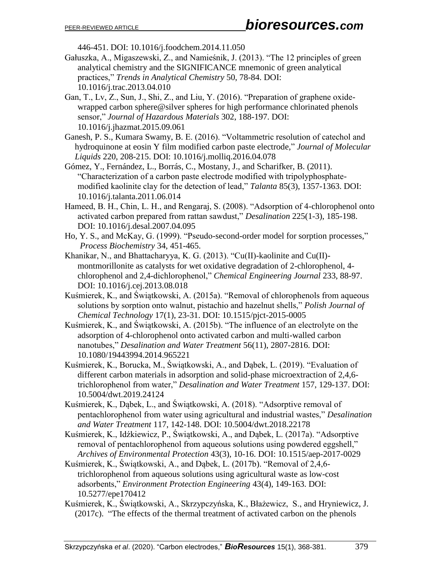446-451. DOI: 10.1016/j.foodchem.2014.11.050

- Gałuszka, A., Migaszewski, Z., and Namieśnik, J. (2013). "The 12 principles of green analytical chemistry and the SIGNIFICANCE mnemonic of green analytical practices," *Trends in Analytical Chemistry* 50, 78-84. DOI: 10.1016/j.trac.2013.04.010
- Gan, T., Lv, Z., Sun, J., Shi, Z., and Liu, Y. (2016). "Preparation of graphene oxidewrapped carbon sphere@silver spheres for high performance chlorinated phenols sensor," *Journal of Hazardous Materials* 302, 188-197. DOI: 10.1016/j.jhazmat.2015.09.061
- Ganesh, P. S., Kumara Swamy, B. E. (2016). "Voltammetric resolution of catechol and hydroquinone at eosin Y film modified carbon paste electrode," *Journal of Molecular Liquids* 220, 208-215. DOI: 10.1016/j.molliq.2016.04.078
- Gómez, Y., Fernández, L., Borrás, C., Mostany, J., and Scharifker, B. (2011). "Characterization of a carbon paste electrode modified with tripolyphosphatemodified kaolinite clay for the detection of lead," *Talanta* 85(3), 1357-1363. DOI: 10.1016/j.talanta.2011.06.014
- Hameed, B. H., Chin, L. H., and Rengaraj, S. (2008). "Adsorption of 4-chlorophenol onto activated carbon prepared from rattan sawdust," *Desalination* 225(1-3), 185-198. DOI: 10.1016/j.desal.2007.04.095
- Ho, Y. S., and McKay, G. (1999). "Pseudo-second-order model for sorption processes," *Process Biochemistry* 34, 451-465.
- Khanikar, N., and Bhattacharyya, K. G. (2013). "Cu(II)-kaolinite and Cu(II) montmorillonite as catalysts for wet oxidative degradation of 2-chlorophenol, 4 chlorophenol and 2,4-dichlorophenol," *Chemical Engineering Journal* 233, 88-97. DOI: 10.1016/j.cej.2013.08.018
- Kuśmierek, K., and Świątkowski, A. (2015a). "Removal of chlorophenols from aqueous solutions by sorption onto walnut, pistachio and hazelnut shells," *Polish Journal of Chemical Technology* 17(1), 23-31. DOI: 10.1515/pjct-2015-0005
- Kuśmierek, K., and Świątkowski, A. (2015b). "The influence of an electrolyte on the adsorption of 4-chlorophenol onto activated carbon and multi-walled carbon nanotubes," *Desalination and Water Treatment* 56(11), 2807-2816. DOI: 10.1080/19443994.2014.965221
- Kuśmierek, K., Borucka, M., Świątkowski, A., and Dąbek, L. (2019). "Evaluation of different carbon materials in adsorption and solid-phase microextraction of 2,4,6 trichlorophenol from water," *Desalination and Water Treatment* 157, 129-137. DOI: 10.5004/dwt.2019.24124
- Kuśmierek, K., Dąbek, L., and Świątkowski, A. (2018). "Adsorptive removal of pentachlorophenol from water using agricultural and industrial wastes," *Desalination and Water Treatment* 117, 142-148. DOI: 10.5004/dwt.2018.22178
- Kuśmierek, K., Idźkiewicz, P., Świątkowski, A., and Dąbek, L. (2017a). "Adsorptive removal of pentachlorophenol from aqueous solutions using powdered eggshell," *Archives of Environmental Protection* 43(3), 10-16. DOI: 10.1515/aep-2017-0029
- Kuśmierek, K., Świątkowski, A., and Dąbek, L. (2017b). "Removal of 2,4,6 trichlorophenol from aqueous solutions using agricultural waste as low-cost adsorbents," *Environment Protection Engineering* 43(4), 149-163. DOI: 10.5277/epe170412
- Kuśmierek, K., Świątkowski, A., Skrzypczyńska, K., Błażewicz, S., and Hryniewicz, J. (2017c). "The effects of the thermal treatment of activated carbon on the phenols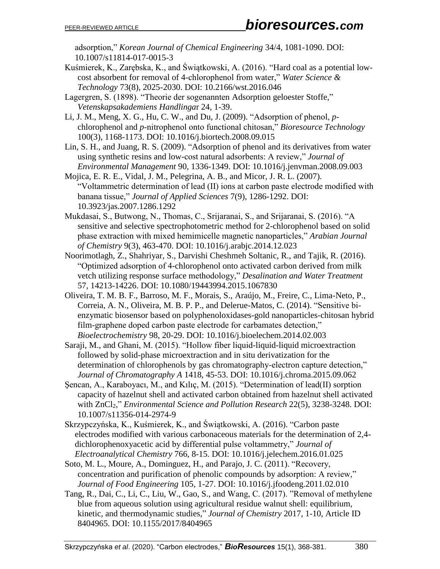adsorption," *Korean Journal of Chemical Engineering* 34/4, 1081-1090. DOI: 10.1007/s11814-017-0015-3

- Kuśmierek, K., Zarębska, K., and Świątkowski, A. (2016). "Hard coal as a potential lowcost absorbent for removal of 4-chlorophenol from water," *Water Science & Technology* 73(8), 2025-2030. DOI: 10.2166/wst.2016.046
- Lagergren, S. (1898). "Theorie der sogenannten Adsorption geloester Stoffe," *Vetenskapsakademiens Handlinga*r 24, 1-39.

Li, J. M., Meng, X. G., Hu, C. W., and Du, J. (2009). "Adsorption of phenol, *p*chlorophenol and *p*-nitrophenol onto functional chitosan," *Bioresource Technology* 100(3), 1168-1173. DOI: 10.1016/j.biortech.2008.09.015

Lin, S. H., and Juang, R. S. (2009). "Adsorption of phenol and its derivatives from water using synthetic resins and low-cost natural adsorbents: A review," *Journal of Environmental Management* 90, 1336-1349. DOI: 10.1016/j.jenvman.2008.09.003

Mojica, E. R. E., Vidal, J. M., Pelegrina, A. B., and Micor, J. R. L. (2007). "Voltammetric determination of lead (II) ions at carbon paste electrode modified with banana tissue," *Journal of Applied Sciences* 7(9), 1286-1292. DOI: 10.3923/jas.2007.1286.1292

- Mukdasai, S., Butwong, N., Thomas, C., Srijaranai, S., and Srijaranai, S. (2016). "A sensitive and selective spectrophotometric method for 2-chlorophenol based on solid phase extraction with mixed hemimicelle magnetic nanoparticles," *Arabian Journal of Chemistry* 9(3), 463-470. DOI: 10.1016/j.arabjc.2014.12.023
- Noorimotlagh, Z., Shahriyar, S., Darvishi Cheshmeh Soltanic, R., and Tajik, R. (2016). "Optimized adsorption of 4-chlorophenol onto activated carbon derived from milk vetch utilizing response surface methodology," *Desalination and Water Treatment* 57, 14213-14226. DOI: 10.1080/19443994.2015.1067830
- Oliveira, T. M. B. F., Barroso, M. F., Morais, S., Araújo, M., Freire, C., Lima-Neto, P., Correia, A. N., Oliveira, M. B. P. P., and Delerue-Matos, C. (2014). "Sensitive bienzymatic biosensor based on polyphenoloxidases-gold nanoparticles-chitosan hybrid film-graphene doped carbon paste electrode for carbamates detection," *Bioelectrochemistry* 98, 20-29. DOI: 10.1016/j.bioelechem.2014.02.003

Saraji, M., and Ghani, M. (2015). "Hollow fiber liquid-liquid-liquid microextraction followed by solid-phase microextraction and in situ derivatization for the determination of chlorophenols by gas chromatography-electron capture detection," *Journal of Chromatography A* 1418, 45-53. DOI: 10.1016/j.chroma.2015.09.062

- Şencan, A., Karaboyacı, M., and Kılıç, M. (2015). "Determination of lead(II) sorption capacity of hazelnut shell and activated carbon obtained from hazelnut shell activated with ZnCl2," *Environmental Science and Pollution Research* 22(5), 3238-3248. DOI: 10.1007/s11356-014-2974-9
- Skrzypczyńska, K., Kuśmierek, K., and Świątkowski, A. (2016). "Carbon paste electrodes modified with various carbonaceous materials for the determination of 2,4 dichlorophenoxyacetic acid by differential pulse voltammetry," *Journal of Electroanalytical Chemistry* 766, 8-15. DOI: 10.1016/j.jelechem.2016.01.025
- Soto, M. L., Moure, A., Dominguez, H., and Parajo, J. C. (2011). "Recovery, concentration and purification of phenolic compounds by adsorption: A review," *Journal of Food Engineering* 105, 1-27. DOI: 10.1016/j.jfoodeng.2011.02.010
- Tang, R., Dai, C., Li, C., Liu, W., Gao, S., and Wang, C. (2017). "Removal of methylene blue from aqueous solution using agricultural residue walnut shell: equilibrium, kinetic, and thermodynamic studies," *Journal of Chemistry* 2017, 1-10, Article ID 8404965. DOI: 10.1155/2017/8404965